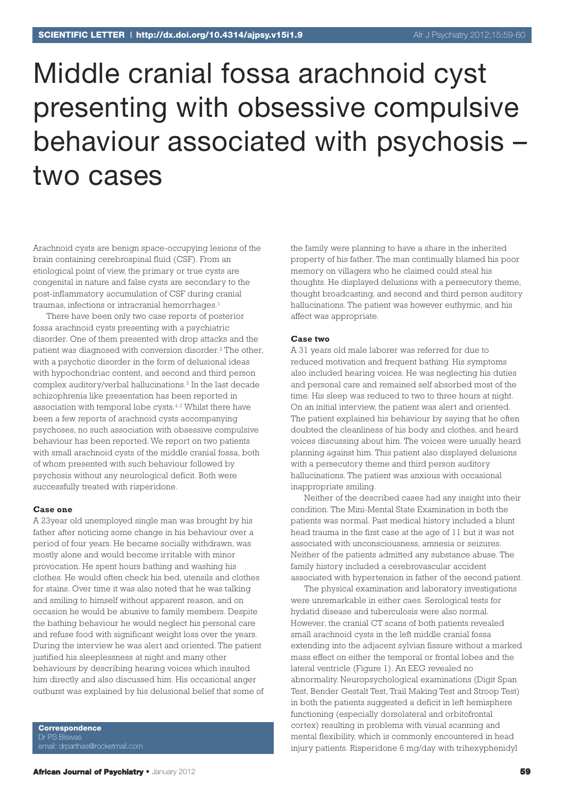# Middle cranial fossa arachnoid cyst presenting with obsessive compulsive behaviour associated with psychosis – two cases

Arachnoid cysts are benign space-occupying lesions of the brain containing cerebrospinal fluid (CSF). From an etiological point of view, the primary or true cysts are congenital in nature and false cysts are secondary to the post-inflammatory accumulation of CSF during cranial traumas, infections or intracranial hemorrhages. 1

There have been only two case reports of posterior fossa arachnoid cysts presenting with a psychiatric disorder. One of them presented with drop attacks and the patient was diagnosed with conversion disorder. <sup>2</sup> The other, with a psychotic disorder in the form of delusional ideas with hypochondriac content, and second and third person complex auditory/verbal hallucinations. <sup>3</sup> In the last decade schizophrenia like presentation has been reported in association with temporal lobe cysts. 4-7 Whilst there have been a few reports of arachnoid cysts accompanying psychoses, no such association with obsessive compulsive behaviour has been reported. We report on two patients with small arachnoid cysts of the middle cranial fossa, both of whom presented with such behaviour followed by psychosis without any neurological deficit. Both were successfully treated with risperidone.

#### **Case one**

A 23year old unemployed single man was brought by his father after noticing some change in his behaviour over a period of four years. He became socially withdrawn, was mostly alone and would become irritable with minor provocation. He spent hours bathing and washing his clothes. He would often check his bed, utensils and clothes for stains. Over time it was also noted that he was talking and smiling to himself without apparent reason, and on occasion he would be abusive to family members. Despite the bathing behaviour he would neglect his personal care and refuse food with significant weight loss over the years. During the interview he was alert and oriented. The patient justified his sleeplessness at night and many other behaviours by describing hearing voices which insulted him directly and also discussed him. His occasional anger outburst was explained by his delusional belief that some of

**Correspondence** Dr PS Biswas

the family were planning to have a share in the inherited property of his father. The man continually blamed his poor memory on villagers who he claimed could steal his thoughts. He displayed delusions with a persecutory theme, thought broadcasting, and second and third person auditory hallucinations. The patient was however euthymic, and his affect was appropriate.

#### **Case two**

A 31 years old male laborer was referred for due to reduced motivation and frequent bathing. His symptoms also included hearing voices. He was neglecting his duties and personal care and remained self absorbed most of the time. His sleep was reduced to two to three hours at night. On an initial interview, the patient was alert and oriented. The patient explained his behaviour by saying that he often doubted the cleanliness of his body and clothes, and heard voices discussing about him. The voices were usually heard planning against him. This patient also displayed delusions with a persecutory theme and third person auditory hallucinations. The patient was anxious with occasional inappropriate smiling.

Neither of the described cases had any insight into their condition. The Mini-Mental State Examination in both the patients was normal. Past medical history included a blunt head trauma in the first case at the age of 11 but it was not associated with unconsciousness, amnesia or seizures. Neither of the patients admitted any substance abuse. The family history included a cerebrovascular accident associated with hypertension in father of the second patient.

The physical examination and laboratory investigations were unremarkable in either caes. Serological tests for hydatid disease and tuberculosis were also normal. However, the cranial CT scans of both patients revealed small arachnoid cysts in the left middle cranial fossa extending into the adjacent sylvian fissure without a marked mass effect on either the temporal or frontal lobes and the lateral ventricle (Figure 1). An EEG revealed no abnormality. Neuropsychological examinations (Digit Span Test, Bender Gestalt Test, Trail Making Test and Stroop Test) in both the patients suggested a deficit in left hemisphere functioning (especially dorsolateral and orbitofrontal cortex) resulting in problems with visual scanning and mental flexibility, which is commonly encountered in head injury patients. Risperidone 6 mg/day with trihexyphenidyl